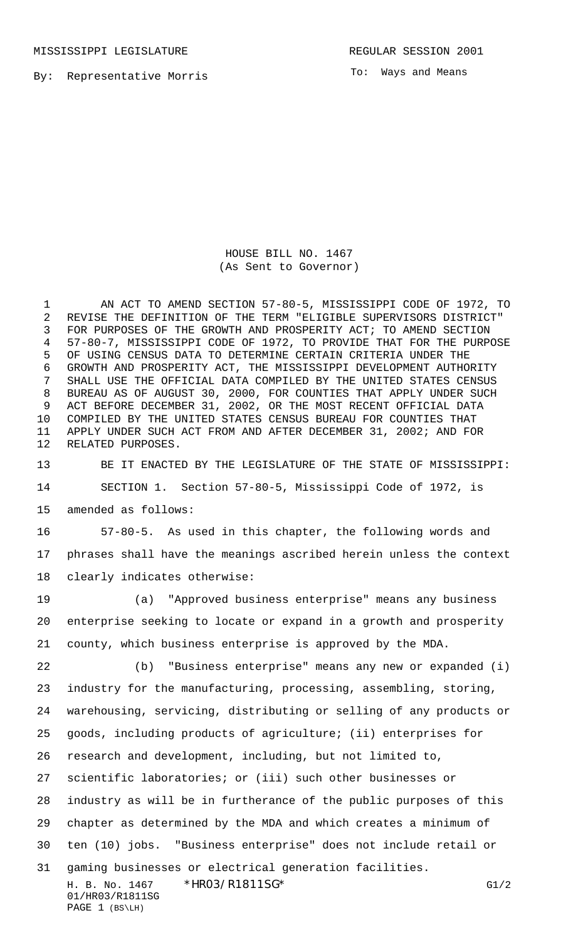MISSISSIPPI LEGISLATURE **REGULAR SESSION 2001** 

By: Representative Morris

To: Ways and Means

HOUSE BILL NO. 1467 (As Sent to Governor)

 AN ACT TO AMEND SECTION 57-80-5, MISSISSIPPI CODE OF 1972, TO REVISE THE DEFINITION OF THE TERM "ELIGIBLE SUPERVISORS DISTRICT" FOR PURPOSES OF THE GROWTH AND PROSPERITY ACT; TO AMEND SECTION 57-80-7, MISSISSIPPI CODE OF 1972, TO PROVIDE THAT FOR THE PURPOSE OF USING CENSUS DATA TO DETERMINE CERTAIN CRITERIA UNDER THE GROWTH AND PROSPERITY ACT, THE MISSISSIPPI DEVELOPMENT AUTHORITY SHALL USE THE OFFICIAL DATA COMPILED BY THE UNITED STATES CENSUS BUREAU AS OF AUGUST 30, 2000, FOR COUNTIES THAT APPLY UNDER SUCH ACT BEFORE DECEMBER 31, 2002, OR THE MOST RECENT OFFICIAL DATA COMPILED BY THE UNITED STATES CENSUS BUREAU FOR COUNTIES THAT APPLY UNDER SUCH ACT FROM AND AFTER DECEMBER 31, 2002; AND FOR RELATED PURPOSES.

 BE IT ENACTED BY THE LEGISLATURE OF THE STATE OF MISSISSIPPI: SECTION 1. Section 57-80-5, Mississippi Code of 1972, is amended as follows:

 57-80-5. As used in this chapter, the following words and phrases shall have the meanings ascribed herein unless the context clearly indicates otherwise:

 (a) "Approved business enterprise" means any business enterprise seeking to locate or expand in a growth and prosperity county, which business enterprise is approved by the MDA.

H. B. No. 1467 \* HRO3/R1811SG\* G1/2 01/HR03/R1811SG PAGE 1 (BS\LH) (b) "Business enterprise" means any new or expanded (i) industry for the manufacturing, processing, assembling, storing, warehousing, servicing, distributing or selling of any products or goods, including products of agriculture; (ii) enterprises for research and development, including, but not limited to, scientific laboratories; or (iii) such other businesses or industry as will be in furtherance of the public purposes of this chapter as determined by the MDA and which creates a minimum of ten (10) jobs. "Business enterprise" does not include retail or gaming businesses or electrical generation facilities.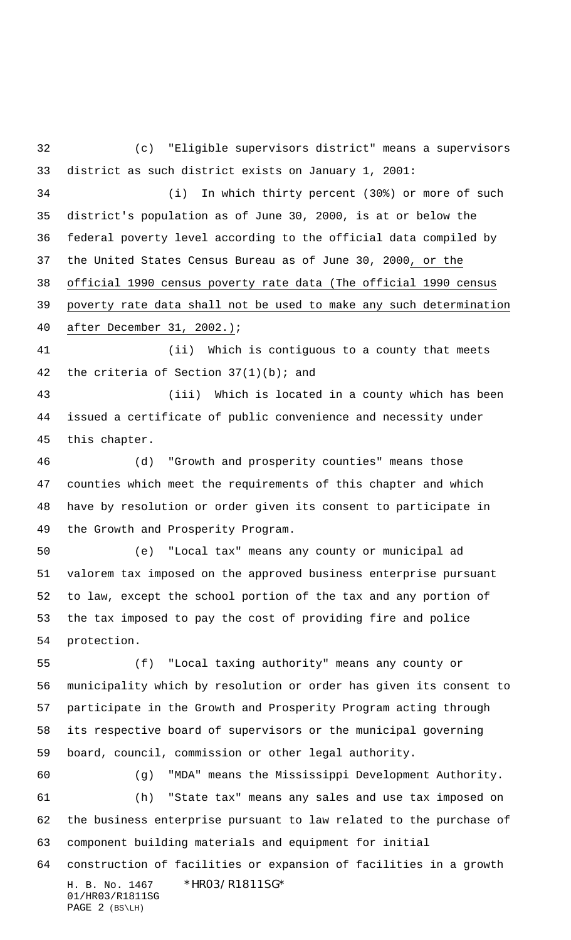(c) "Eligible supervisors district" means a supervisors district as such district exists on January 1, 2001:

 (i) In which thirty percent (30%) or more of such district's population as of June 30, 2000, is at or below the federal poverty level according to the official data compiled by the United States Census Bureau as of June 30, 2000, or the official 1990 census poverty rate data (The official 1990 census poverty rate data shall not be used to make any such determination after December 31, 2002.);

 (ii) Which is contiguous to a county that meets 42 the criteria of Section  $37(1)(b)$ ; and

 (iii) Which is located in a county which has been issued a certificate of public convenience and necessity under this chapter.

 (d) "Growth and prosperity counties" means those counties which meet the requirements of this chapter and which have by resolution or order given its consent to participate in the Growth and Prosperity Program.

 (e) "Local tax" means any county or municipal ad valorem tax imposed on the approved business enterprise pursuant to law, except the school portion of the tax and any portion of the tax imposed to pay the cost of providing fire and police protection.

 (f) "Local taxing authority" means any county or municipality which by resolution or order has given its consent to participate in the Growth and Prosperity Program acting through its respective board of supervisors or the municipal governing board, council, commission or other legal authority.

 (g) "MDA" means the Mississippi Development Authority. (h) "State tax" means any sales and use tax imposed on the business enterprise pursuant to law related to the purchase of component building materials and equipment for initial construction of facilities or expansion of facilities in a growth

H. B. No. 1467 \* HRO3/R1811SG\* 01/HR03/R1811SG PAGE 2 (BS\LH)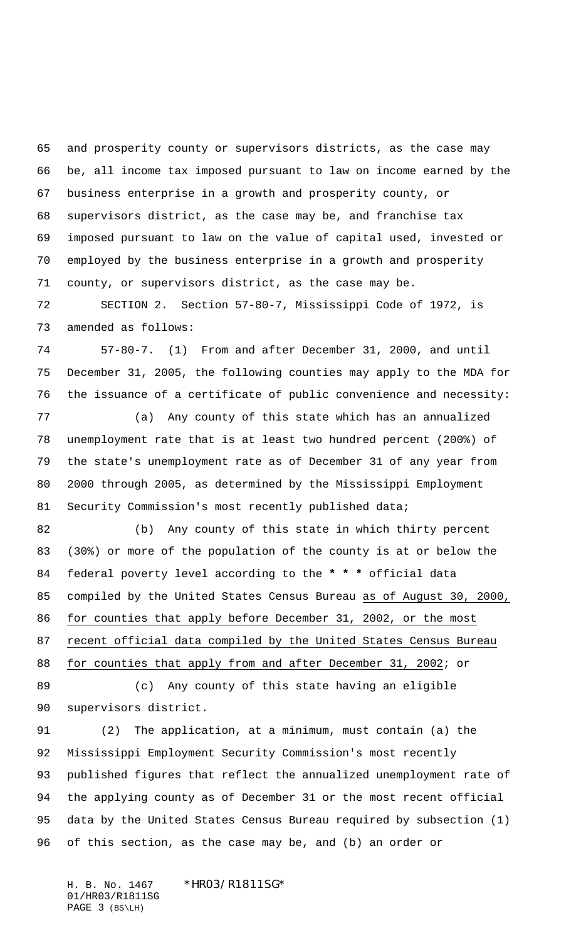and prosperity county or supervisors districts, as the case may be, all income tax imposed pursuant to law on income earned by the business enterprise in a growth and prosperity county, or supervisors district, as the case may be, and franchise tax imposed pursuant to law on the value of capital used, invested or employed by the business enterprise in a growth and prosperity county, or supervisors district, as the case may be.

 SECTION 2. Section 57-80-7, Mississippi Code of 1972, is amended as follows:

 57-80-7. (1) From and after December 31, 2000, and until December 31, 2005, the following counties may apply to the MDA for the issuance of a certificate of public convenience and necessity:

 (a) Any county of this state which has an annualized unemployment rate that is at least two hundred percent (200%) of the state's unemployment rate as of December 31 of any year from 2000 through 2005, as determined by the Mississippi Employment 81 Security Commission's most recently published data;

 (b) Any county of this state in which thirty percent (30%) or more of the population of the county is at or below the federal poverty level according to the **\* \* \*** official data compiled by the United States Census Bureau as of August 30, 2000, for counties that apply before December 31, 2002, or the most recent official data compiled by the United States Census Bureau for counties that apply from and after December 31, 2002; or

 (c) Any county of this state having an eligible supervisors district.

 (2) The application, at a minimum, must contain (a) the Mississippi Employment Security Commission's most recently published figures that reflect the annualized unemployment rate of the applying county as of December 31 or the most recent official data by the United States Census Bureau required by subsection (1) of this section, as the case may be, and (b) an order or

H. B. No. 1467 \*HR03/R1811SG\* 01/HR03/R1811SG PAGE 3 (BS\LH)